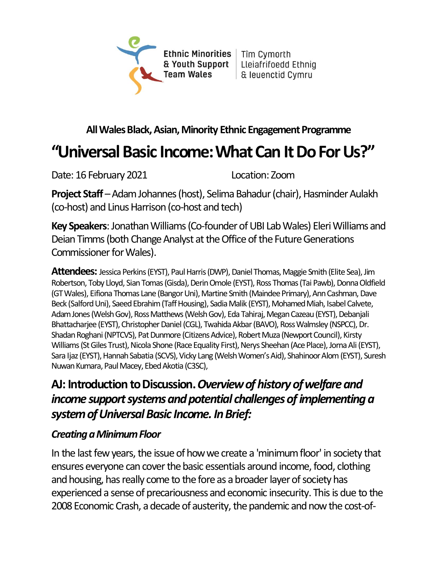

#### **All Wales Black, Asian, Minority Ethnic Engagement Programme**

# **"Universal Basic Income: What Can It Do For Us?"**

Date: 16 February 2021 Location: Zoom

**Project Staff** – Adam Johannes (host), Selima Bahadur (chair), Hasminder Aulakh (co-host) and Linus Harrison (co-host and tech)

**Key Speakers**: Jonathan Williams (Co-founder of UBI Lab Wales) Eleri Williams and Deian Timms (both Change Analyst at the Office of the Future Generations Commissioner for Wales).

**Attendees:** Jessica Perkins (EYST), Paul Harris (DWP), Daniel Thomas, Maggie Smith (Elite Sea), Jim Robertson, Toby Lloyd, Sian Tomas (Gisda), Derin Omole (EYST), Ross Thomas (Tai Pawb), Donna Oldfield (GT Wales), Eifiona Thomas Lane (Bangor Uni), Martine Smith (Maindee Primary), Ann Cashman, Dave Beck (Salford Uni), Saeed Ebrahim (Taff Housing), Sadia Malik (EYST), Mohamed Miah, Isabel Calvete, Adam Jones (Welsh Gov), Ross Matthews (Welsh Gov), Eda Tahiraj, Megan Cazeau (EYST), Debanjali Bhattacharjee (EYST), Christopher Daniel (CGL), Twahida Akbar(BAVO), Ross Walmsley (NSPCC), Dr. Shadan Roghani (NPTCVS), Pat Dunmore (Citizens Advice), Robert Muza (Newport Council), Kirsty Williams (St Giles Trust), Nicola Shone (Race Equality First), Nerys Sheehan (Ace Place), Jorna Ali (EYST), Sara Ijaz (EYST), Hannah Sabatia (SCVS), Vicky Lang (Welsh Women's Aid), Shahinoor Alom (EYST), Suresh Nuwan Kumara, Paul Macey, Ebed Akotia (C3SC),

## **AJ: Introduction to Discussion.** *Overview of history of welfare and* income support systems and potential challenges of implementing a *system of Universal Basic Income. In Brief:*

#### *Creating a Minimum Floor*

In the last few years, the issue of how we create a 'minimum floor' in society that ensures everyone can cover the basic essentials around income, food, clothing and housing, has really come to the fore as a broader layer of society has experienced a sense of precariousness and economic insecurity. This is due to the 2008 Economic Crash, a decade of austerity, the pandemic and now the cost-of-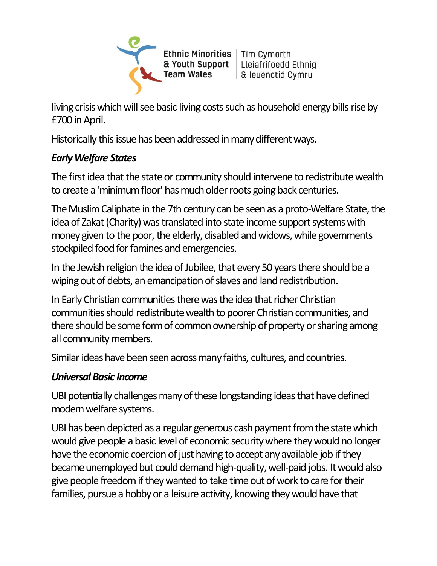

living crisis which will see basic living costs such as household energy bills rise by £700 in April.

Historically this issue has been addressed in many different ways.

#### *Early Welfare States*

The first idea that the state or community should intervene to redistribute wealth to create a 'minimum floor' has much older roots going back centuries.

The Muslim Caliphate in the 7th century can be seen as a proto-Welfare State, the idea of Zakat (Charity) was translated into state income support systems with money given to the poor, the elderly, disabled and widows, while governments stockpiled food for famines and emergencies.

In the Jewish religion the idea of Jubilee, that every 50 years there should be a wiping out of debts, an emancipation of slaves and land redistribution.

In Early Christian communities there was the idea that richer Christian communities should redistribute wealth to poorer Christian communities, and there should be some form of common ownership of property or sharing among all community members.

Similar ideas have been seen across many faiths, cultures, and countries.

#### *Universal Basic Income*

UBI potentially challenges many of these longstanding ideas that have defined modern welfare systems.

UBI has been depicted as a regular generous cash payment from the state which would give people a basic level of economic security where they would no longer have the economic coercion of just having to accept any available job if they became unemployed but could demand high-quality,well-paid jobs. It would also give people freedom if they wanted to take time out of work to care for their families, pursue a hobby or a leisure activity, knowing they would have that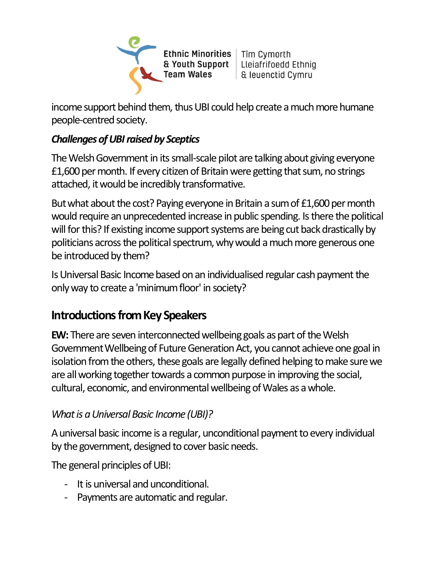Ethnic Minorities | Tîm Cymorth & Youth Support | Lleiafrifoedd Ethniq **Team Wales** 

| & leuenctid Cymru

income support behind them, thus UBI could help create a much more humane people-centred society.

## *Challenges of UBI raised by Sceptics*

The Welsh Government in its small-scale pilot are talking about giving everyone £1,600 per month. If every citizen of Britain were getting that sum, no strings attached, it would be incredibly transformative.

But what about the cost? Paying everyone in Britain a sum of £1,600 per month would require an unprecedented increase in public spending. Is there the political will for this? If existing income support systems are being cut back drastically by politicians across the political spectrum, why would a much more generous one be introduced by them?

Is Universal Basic Income based on an individualised regular cash payment the only way to create a 'minimum floor' in society?

## **Introductions from Key Speakers**

**EW:** There are seven interconnected wellbeing goals as part of the Welsh Government Wellbeing of Future Generation Act, you cannot achieve one goal in isolation from the others, these goals are legally defined helping to make sure we are all working together towards a common purpose in improving the social, cultural, economic, and environmental wellbeing of Wales as a whole.

## *What is a Universal Basic Income (UBI)?*

A universal basic income is a regular, unconditional payment to every individual by the government, designed to cover basic needs.

The general principles of UBI:

- It is universal and unconditional.
- Payments are automatic and regular.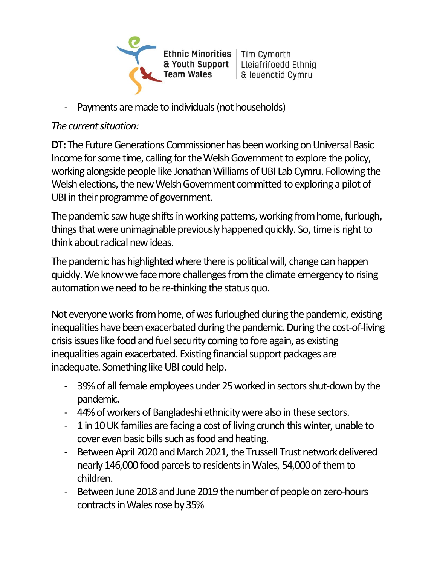Ethnic Minorities | Tîm Cymorth & Youth Support Lleiafrifoedd Ethnig **Team Wales** 

- | & leuenctid Cymru
- Payments are made to individuals (not households)

#### *The current situation:*

**DT:** The Future Generations Commissioner has been working on Universal Basic Income for some time, calling for the Welsh Government to explore the policy, working alongside people like Jonathan Williams of UBI Lab Cymru. Following the Welsh elections, the new Welsh Government committed to exploring a pilot of UBI in their programme of government.

The pandemic saw huge shifts in working patterns, working from home, furlough, things that were unimaginable previously happened quickly. So, time is right to think about radical new ideas.

The pandemic has highlighted where there is political will, change can happen quickly. We knowwe face more challenges from the climate emergency to rising automation we need to be re-thinking the status quo.

Not everyone works from home, of was furloughed during the pandemic, existing inequalities have been exacerbated during the pandemic. During the cost-of-living crisis issues like food and fuel security coming to fore again, as existing inequalities again exacerbated. Existing financial support packages are inadequate. Something like UBI could help.

- 39% of all female employees under 25 worked in sectors shut-down by the pandemic.
- 44% of workers of Bangladeshi ethnicity were also in these sectors.
- 1 in 10 UK families are facing a cost of living crunch this winter, unable to cover even basic bills such as food and heating.
- Between April 2020 and March 2021, the Trussell Trust network delivered nearly 146,000 food parcels to residents in Wales, 54,000 of them to children.
- Between June 2018 and June 2019 the number of people on zero-hours contracts in Wales rose by 35%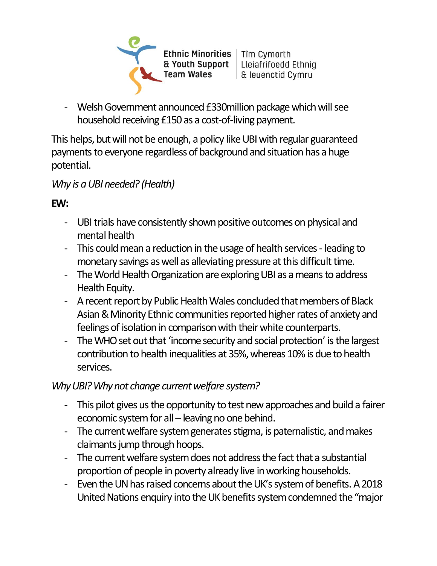Ethnic Minorities | Tîm Cymorth & Youth Support | Lleiafrifoedd Ethniq **Team Wales** 

| & leuenctid Cymru

- Welsh Government announced £330million package which will see household receiving £150 as a cost-of-living payment.

This helps, but will not be enough, a policy like UBI with regular guaranteed payments to everyone regardless of background and situation has a huge potential.

### *Why is a UBI needed? (Health)*

### **EW:**

- UBI trials have consistently shown positive outcomes on physical and mental health
- This could mean a reduction in the usage of health services leading to monetary savings as well as alleviating pressure at this difficult time.
- The World Health Organization are exploring UBI as a means to address Health Equity.
- A recent report by Public Health Wales concluded that members of Black Asian & Minority Ethnic communities reported higher rates of anxiety and feelings of isolation in comparison with their white counterparts.
- The WHO set out that 'income security and social protection' is the largest contribution to health inequalities at 35%, whereas 10% is due to health services.

### *Why UBI? Why not change current welfare system?*

- This pilot gives us the opportunity to test new approaches and build a fairer economic system for all – leaving no one behind.
- The current welfare system generates stigma, is paternalistic, and makes claimants jump through hoops.
- The current welfare system does not address the fact that a substantial proportion of people in poverty already live in working households.
- Even the UN has raised concerns about the UK's system of benefits. A 2018 United Nations enquiry into the UK benefits system condemned the "major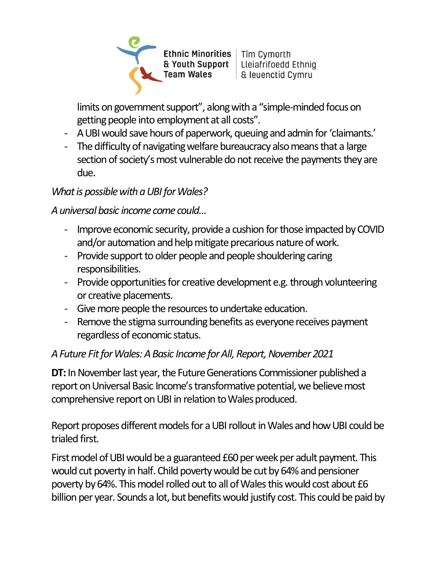Ethnic Minorities | Tîm Cymorth & Youth Support | Lleiafrifoedd Ethniq **Team Wales** 

| & leuenctid Cymru

limits on government support", along with a "simple-minded focus on getting people into employment at all costs".

- A UBI would save hours of paperwork, queuing and admin for 'claimants.'
- The difficulty of navigating welfare bureaucracy also means that a large section of society's most vulnerable do not receive the payments they are due.

#### *What is possible with a UBI for Wales?*

#### *A universal basic income come could...*

- Improve economic security, provide a cushion for those impacted by COVID and/or automation and help mitigate precarious nature of work.
- Provide support to older people and people shouldering caring responsibilities.
- Provide opportunities for creative development e.g. through volunteering or creative placements.
- Give more people the resources to undertake education.
- Remove the stigma surrounding benefits as everyone receives payment regardless of economic status.

#### *A Future Fit for Wales: A Basic Income for All, Report, November 2021*

**DT:** In November last year, the Future Generations Commissioner published a report on Universal Basic Income's transformative potential, we believe most comprehensive report on UBI in relation to Wales produced.

Report proposes different models for a UBI rollout in Wales and how UBI could be trialed first.

First model of UBI would be a guaranteed £60 per week per adult payment. This would cut poverty in half. Child poverty would be cut by 64% and pensioner poverty by 64%. This model rolled out to all of Wales this would cost about £6 billion per year. Sounds a lot, but benefits would justify cost. This could be paid by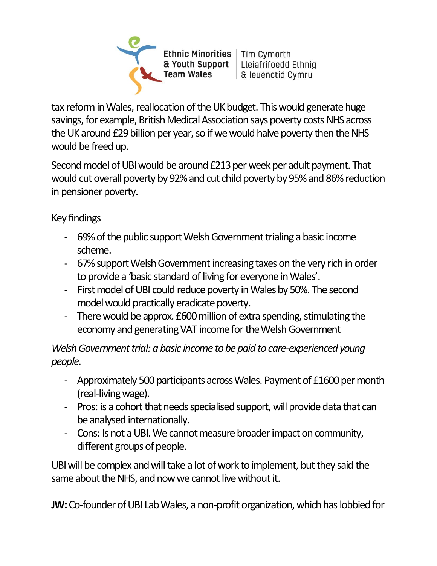Ethnic Minorities | Tîm Cymorth & Youth Support | Lleiafrifoedd Ethniq **Team Wales** | & leuenctid Cymru

tax reform in Wales, reallocation of the UK budget. This would generate huge savings, for example, British Medical Association says poverty costs NHS across the UK around £29 billion per year, so if we would halve poverty then the NHS would be freed up.

Second model of UBI would be around £213 per week per adult payment. That would cut overall poverty by 92% and cut child poverty by 95% and 86% reduction in pensioner poverty.

Key findings

- 69% of the public support Welsh Government trialing a basic income scheme.
- 67% support Welsh Government increasing taxes on the very rich in order to provide a 'basic standard of living for everyone in Wales'.
- First model of UBI could reduce poverty in Wales by 50%. The second model would practically eradicate poverty.
- There would be approx. £600 million of extra spending, stimulating the economy and generating VAT income for the Welsh Government

*Welsh Government trial: a basic income to be paid to care-experienced young people.*

- Approximately 500 participants across Wales. Payment of £1600 per month (real-living wage).
- Pros: is a cohort that needs specialised support, will provide data that can be analysed internationally.
- Cons: Is not a UBI. We cannot measure broader impact on community, different groups of people.

UBI will be complex and will take a lot of work to implement, but they said the same about the NHS, and now we cannot live without it.

**JW:** Co-founder of UBI Lab Wales, a non-profit organization, which has lobbied for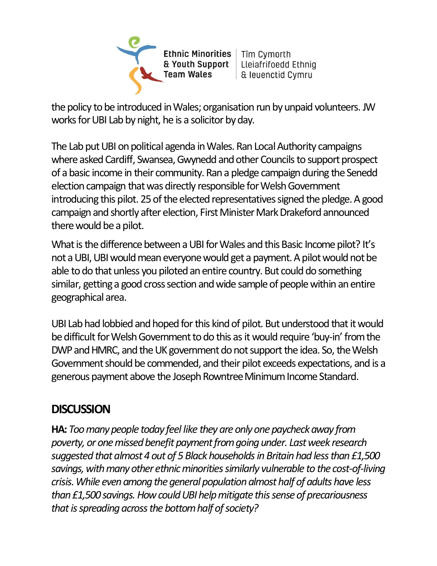**Ethnic Minorities** & Youth Support **Team Wales** 

Tîm Cymorth Lleiafrifoedd Ethnig & leuenctid Cymru

the policy to be introduced in Wales; organisation run by unpaid volunteers. JW works for UBI Lab by night, he is a solicitor by day.

The Lab put UBI on political agenda in Wales. Ran Local Authority campaigns where asked Cardiff, Swansea, Gwynedd and other Councils to support prospect of a basic income in their community. Ran a pledge campaign during the Senedd election campaign that was directly responsible for Welsh Government introducing this pilot. 25 of the elected representatives signed the pledge. A good campaign and shortly after election, First Minister Mark Drakeford announced therewould be a pilot.

What is the difference between a UBI for Wales and this Basic Income pilot? It's not a UBI, UBI would mean everyone would get a payment. A pilot would not be able to do that unless you piloted an entire country. But could do something similar, getting a good cross section and wide sample of people within an entire geographical area.

UBI Lab had lobbied and hoped for this kind of pilot. But understood that it would be difficult for Welsh Government to do this as it would require 'buy-in' from the DWP and HMRC, and the UK government do not support the idea. So, the Welsh Government should be commended, and their pilot exceeds expectations, and is a generous payment above the Joseph Rowntree Minimum Income Standard.

## **DISCUSSION**

**HA:** *Too many people today feel like they are only one paycheck away from poverty, or one missed benefit payment from going under. Last week research suggested that almost 4 out of 5 Black households in Britain had less than £1,500 savings, with many other ethnic minorities similarly vulnerable to the cost-of-living crisis. While even among the general population almost half of adults have less than £1,500 savings. How could UBI help mitigate this sense of precariousness that is spreading across the bottom half of society?*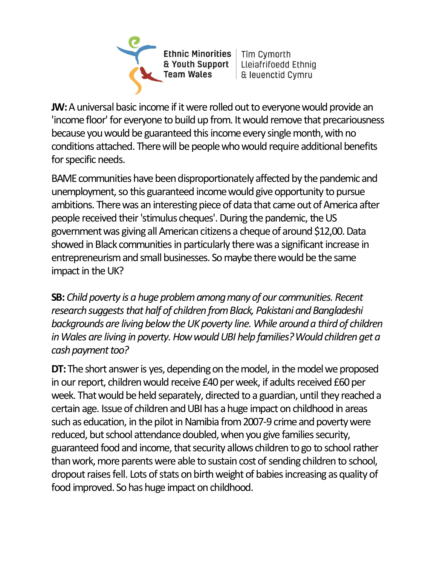Ethnic Minorities | Tîm Cymorth & Youth Support **Team Wales** 

Lleiafrifoedd Ethnig | & leuenctid Cymru

**JW:**A universal basic income if it were rolled out to everyone would provide an 'income floor' for everyone to build up from. It would remove that precariousness because you would be guaranteed this income every single month, with no conditions attached. There will be people who would require additional benefits for specific needs.

BAME communities have been disproportionately affected by the pandemic and unemployment, so this guaranteed income would give opportunity to pursue ambitions. There was an interesting piece of data that came out of America after people received their 'stimulus cheques'. During the pandemic, the US government was giving all American citizens a cheque of around \$12,00. Data showed in Black communities in particularly there was a significant increase in entrepreneurism and small businesses. So maybe there would be the same impact in the UK?

**SB:** *Child poverty is a huge problem among many of our communities. Recent research suggests that half of children from Black, Pakistani and Bangladeshi*  backgrounds are living below the UK poverty line. While around a third of children *in Wales are living in poverty. How would UBI help families? Would children get a cash payment too?*

**DT:** The short answer is yes, depending on the model, in the model we proposed in our report, children would receive £40 per week, if adults received £60 per week. That would be held separately, directed to a guardian, until they reached a certain age. Issue of children and UBI has a huge impact on childhood in areas such as education, in the pilot in Namibia from 2007-9 crime and poverty were reduced, but school attendance doubled, when you give families security, guaranteed food and income, that security allows children to go to school rather than work, more parents were able to sustain cost of sending children to school, dropout raises fell. Lots of stats on birth weight of babies increasing as quality of food improved. So has huge impact on childhood.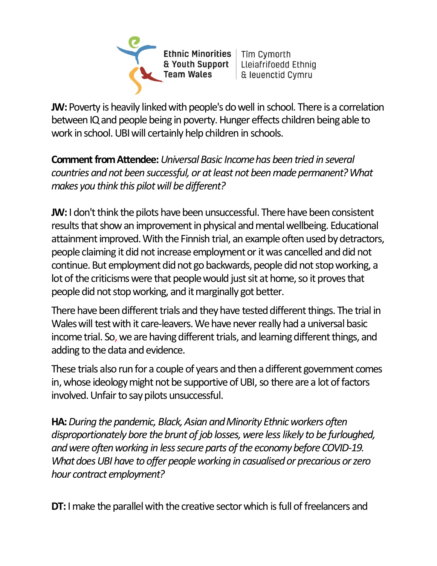Ethnic Minorities | Tîm Cymorth & Youth Support **Team Wales** 

Lleiafrifoedd Ethnig | & leuenctid Cymru

**JW:** Poverty is heavily linked with people's do well in school. There is a correlation between IQ and people being in poverty. Hunger effects children being able to work in school. UBI will certainly help children in schools.

**Comment from Attendee:** *Universal Basic Income has been tried in several countries and not been successful, or at least not been made permanent? What makes you think this pilot will be different?*

**JW:** I don't think the pilots have been unsuccessful. There have been consistent results that show an improvement in physical and mental wellbeing. Educational attainment improved. With the Finnish trial, an example often used by detractors, people claiming it did not increase employment or it was cancelled and did not continue. But employment did not go backwards, people did not stop working, a lot of the criticisms were that people would just sit at home, so it proves that people did not stop working, and it marginally got better.

There have been different trials and they have tested different things. The trial in Wales will test with it care-leavers. We have never really had a universal basic income trial. So, we are having different trials, and learning different things, and adding to the data and evidence.

These trials also run for a couple of years and then a different government comes in, whose ideology might not be supportive of UBI, so there are a lot of factors involved. Unfair to say pilots unsuccessful.

**HA:** *During the pandemic, Black, Asian and Minority Ethnic workers often disproportionately bore the brunt of job losses, were less likely to be furloughed, and were often working in less secure parts of the economy before COVID-19. What does UBI have to offer people working in casualised or precarious or zero hour contract employment?*

**DT:** I make the parallel with the creative sector which is full of freelancers and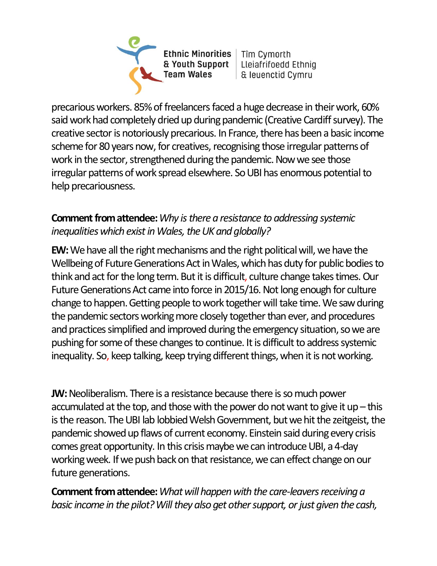Ethnic Minorities | Tîm Cymorth & Youth Support **Team Wales** 

Lleiafrifoedd Ethnig | & leuenctid Cymru

precarious workers. 85% of freelancers faced a huge decrease in their work, 60% said work had completely dried up during pandemic (Creative Cardiff survey). The creative sector is notoriously precarious. In France, there has been a basic income scheme for 80 years now, for creatives, recognising those irregular patterns of work in the sector, strengthened during the pandemic. Now we see those irregular patterns of work spread elsewhere. So UBI has enormous potential to help precariousness.

#### **Comment from attendee:***Why is there a resistance to addressing systemic inequalities which exist in Wales, the UK and globally?*

**EW:**We have all the right mechanisms and the right political will, we have the Wellbeing of Future Generations Act in Wales, which has duty for public bodies to think and act for the long term. But it is difficult, culture change takes times. Our Future Generations Act came into force in 2015/16. Not long enough for culture change to happen. Getting people to work together will take time. We saw during the pandemic sectors working more closely together than ever, and procedures and practices simplified and improved during the emergency situation, so we are pushing for some of these changes to continue. It is difficult to address systemic inequality. So, keep talking, keep trying different things, when it is not working.

**JW:** Neoliberalism. There is a resistance because there is so much power accumulated at the top, and those with the power do not want to give it up – this is the reason. The UBI lab lobbied Welsh Government, but we hit the zeitgeist, the pandemic showed up flaws of current economy. Einstein said during every crisis comes great opportunity. In this crisis maybe we can introduce UBI, a 4-day working week. If we push back on that resistance, we can effect change on our future generations.

**Comment from attendee:***What will happen with the care-leavers receiving a basic income in the pilot? Will they also get other support, or just given the cash,*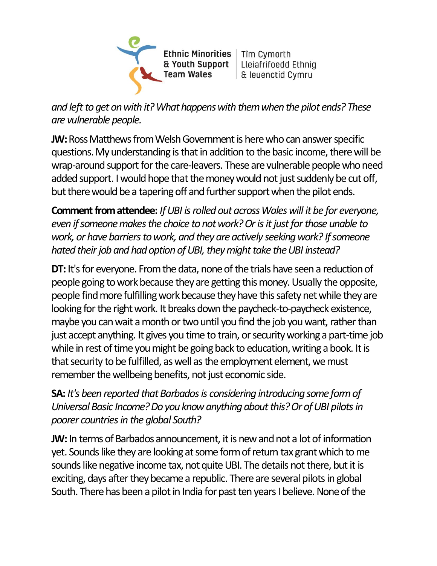Ethnic Minorities | Tîm Cymorth & Youth Support Lleiafrifoedd Ethnig **Team Wales** & leuenctid Cymru

*and left to get on with it? What happens with them when the pilot ends? These are vulnerable people.*

**JW:**Ross Matthews from Welsh Government is here who can answer specific questions. My understanding is that in addition to the basic income, there will be wrap-around support for the care-leavers. These are vulnerable people who need added support. I would hope that the money would not just suddenly be cut off, but there would be a tapering off and further support when the pilot ends.

**Comment from attendee:** *If UBI is rolled out across Wales will it be for everyone, even if someone makes the choice to not work? Or is it just for those unable to work, or have barriers to work, and they are actively seeking work? If someone hated their job and had option of UBI, they might take the UBI instead?* 

**DT:** It's for everyone. From the data, none of the trials have seen a reduction of people going to work because they are getting this money. Usually the opposite, people find more fulfilling work because they have this safety net while they are looking for the right work. It breaks down the paycheck-to-paycheck existence, maybe you can wait a month or two until you find the job you want, rather than just accept anything. It gives you time to train, or security working a part-time job while in rest of time you might be going back to education, writing a book. It is that security to be fulfilled, as well as the employment element, we must remember the wellbeing benefits, not just economic side.

**SA:** *It's been reported that Barbados is considering introducing some form of Universal Basic Income? Do you know anything about this? Or of UBI pilots in poorer countries in the global South?*

**JW:** In terms of Barbados announcement, it is new and not a lot of information yet. Sounds like they are looking at some form of return tax grant which to me sounds like negative income tax, not quite UBI. The details not there, but it is exciting, days after they became a republic. There are several pilots in global South. There has been a pilot in India for past ten years I believe. None of the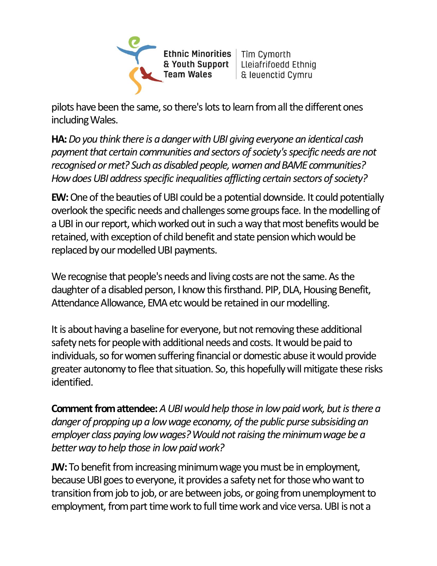**Ethnic Minorities** & Youth Support **Team Wales** 

Tîm Cymorth Lleiafrifoedd Ethnig & leuenctid Cymru

pilots have been the same, so there's lots to learn from all the different ones including Wales.

**HA:***Do you think there is a danger with UBI giving everyone an identical cash payment that certain communities and sectors of society's specific needs are not recognised or met? Such as disabled people, women and BAME communities? How does UBI address specific inequalities afflicting certain sectors of society?*

**EW:**One of the beauties of UBI could be a potential downside. It could potentially overlook the specific needs and challenges some groups face. In the modelling of a UBI in our report, which worked out in such a way that most benefits would be retained, with exception of child benefit and state pension which would be replaced by our modelled UBI payments.

We recognise that people's needs and living costs are not the same. As the daughter of a disabled person, I know this firsthand. PIP, DLA, Housing Benefit, Attendance Allowance, EMA etc would be retained in our modelling.

It is about having a baseline for everyone, but not removing these additional safety nets for people with additional needs and costs. It would be paid to individuals, so for women suffering financial or domestic abuse it would provide greater autonomy to flee that situation. So, this hopefully will mitigate these risks identified.

**Comment from attendee:***A UBI would help those in low paid work, but is there a danger of propping up a low wage economy, of the public purse subsisiding an*  employer class paying low wages? Would not raising the minimum wage be a *better way to help those in low paid work?*

**JW:**To benefit from increasing minimum wage you must be in employment, because UBI goes to everyone, it provides a safety net for those who want to transition from job to job, or are between jobs, or going from unemployment to employment, from part time work to full time work and vice versa. UBI is not a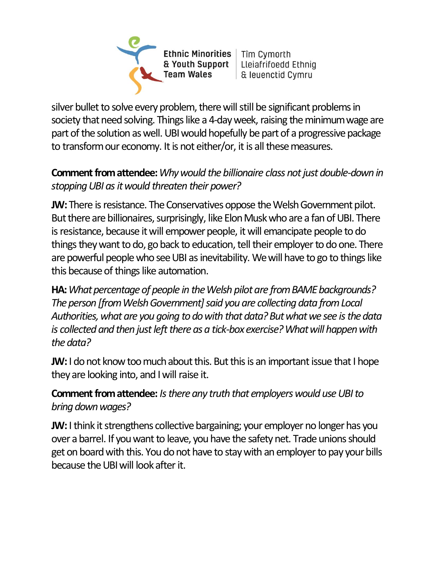Ethnic Minorities | Tîm Cymorth & Youth Support Lleiafrifoedd Ethnig **Team Wales** | & leuenctid Cymru

silver bullet to solve every problem, there will still be significant problems in society that need solving. Things like a 4-day week, raising the minimum wage are part of the solution as well. UBI would hopefully be part of a progressive package to transform our economy. It is not either/or, it is all these measures.

#### **Comment from attendee:***Why would the billionaire class not just double-down in stopping UBI as it would threaten their power?*

**JW:**There is resistance. The Conservatives oppose the Welsh Government pilot. But there are billionaires, surprisingly, like Elon Musk who are a fan of UBI. There is resistance, because it will empower people, it will emancipate people to do things they want to do, go back to education, tell their employer to do one. There are powerful people who see UBI as inevitability. We will have to go to things like this because of things like automation.

**HA:***What percentage of people in the Welsh pilot are from BAME backgrounds? The person [from Welsh Government] said you are collecting data from Local Authorities, what are you going to do with that data? But what we see is the data is collected and then just left there as a tick-box exercise? What will happen with the data?* 

**JW:** I do not know too much about this. But this is an important issue that I hope they are looking into, and I will raise it.

#### **Comment from attendee:** *Is there any truth that employers would use UBI to bring down wages?*

**JW:** I think it strengthens collective bargaining; your employer no longer has you over a barrel. If you want to leave, you have the safety net. Trade unions should get on board with this. You do not have to stay with an employer to pay your bills because the UBI will look after it.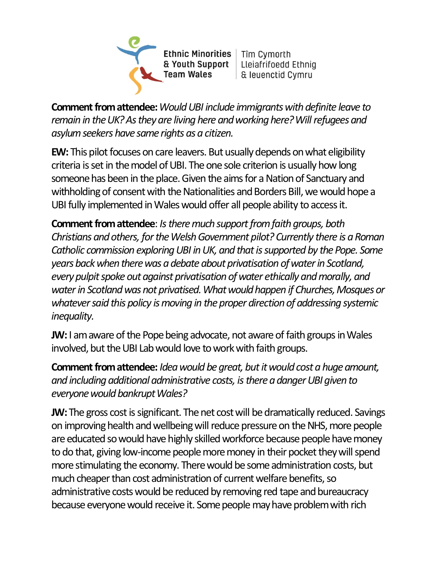Ethnic Minorities | Tîm Cymorth & Youth Support Lleiafrifoedd Ethnig **Team Wales** & leuenctid Cymru

**Comment from attendee:***Would UBI include immigrants with definite leave to remain in the UK? As they are living here and working here? Will refugees and asylum seekers have same rights as a citizen.*

**EW:** This pilot focuses on care leavers. But usually depends on what eligibility criteria is set in the model of UBI. The one sole criterion is usually how long someone has been in the place. Given the aims for a Nation of Sanctuary and withholding of consent with the Nationalities and Borders Bill, we would hope a UBI fully implemented in Wales would offer all people ability to access it.

**Comment from attendee**: *Is there much support from faith groups, both Christians and others, for the Welsh Government pilot? Currently there is a Roman Catholic commission exploring UBI in UK, and that is supported by the Pope. Some years back when there was a debate about privatisation of water in Scotland, every pulpit spoke out against privatisation of water ethically andmorally, and water in Scotland was not privatised. What would happen if Churches, Mosques or whatever said this policy is moving in the proper direction of addressing systemic inequality.*

**JW:** I am aware of the Pope being advocate, not aware of faith groups in Wales involved, but the UBI Lab would love to work with faith groups.

**Comment from attendee:** *Idea would be great, but it would cost a huge amount, and including additional administrative costs, is there a danger UBI given to everyone would bankrupt Wales?*

**JW:**The gross cost is significant. The net cost will be dramatically reduced. Savings on improving health and wellbeing will reduce pressure on the NHS, more people are educated so would have highly skilled workforce because people have money to do that, giving low-income people more money in their pocket they will spend more stimulating the economy. There would be some administration costs, but much cheaper than cost administration of current welfare benefits, so administrative costs would be reduced by removing red tape and bureaucracy because everyone would receive it. Some people may have problem with rich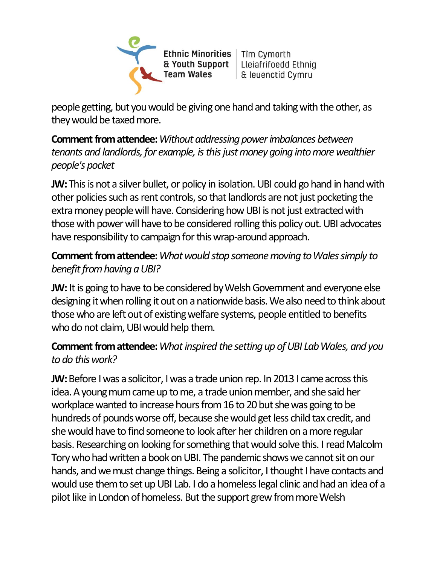Ethnic Minorities | Tîm Cymorth & Youth Support Lleiafrifoedd Ethnig **Team Wales** | & leuenctid Cymru

people getting, but you would be giving one hand and taking with the other, as they would be taxed more.

**Comment from attendee:***Without addressing power imbalances between tenants and landlords, for example, is this just money going into more wealthier people's pocket*

**JW:** This is not a silver bullet, or policy in isolation. UBI could go hand in hand with other policies such as rent controls, so that landlords are not just pocketing the extra money people will have. Considering how UBI is not just extracted with those with power will have to be considered rolling this policy out. UBI advocates have responsibility to campaign for this wrap-around approach.

#### **Comment from attendee:***What would stop someone moving to Wales simply to benefit from having a UBI?*

**JW:** It is going to have to be considered by Welsh Government and everyone else designing it when rolling it out on a nationwide basis. We also need to think about those who are left out of existing welfare systems, people entitled to benefits who do not claim, UBI would help them.

#### **Comment from attendee:***What inspired the setting up of UBI Lab Wales, and you to do this work?*

**JW:** Before I was a solicitor, I was a trade union rep. In 2013 I came across this idea. A young mum came up to me, a trade union member, and she said her workplace wanted to increase hours from 16 to 20 but she was going to be hundreds of pounds worse off, because she would get less child tax credit, and she would have to find someone to look after her children on a more regular basis. Researching on looking for something that would solve this. I read Malcolm Tory who had written a book on UBI. The pandemic shows we cannot sit on our hands, and we must change things. Being a solicitor, I thought I have contacts and would use them to set up UBI Lab. I do a homeless legal clinic andhad an idea of a pilot like in London of homeless. But the support grew from more Welsh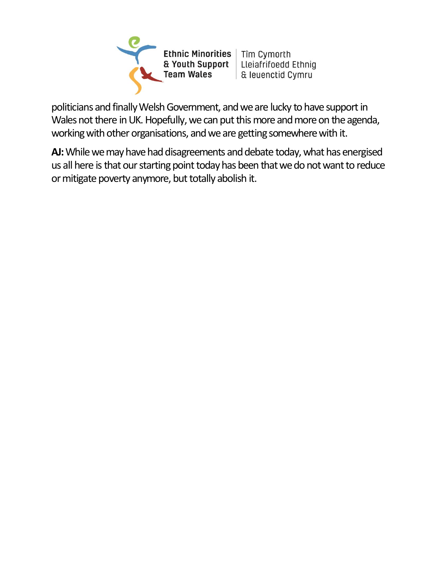Ethnic Minorities | Tîm Cymorth & Youth Support | Lleiafrifoedd Ethnig **Team Wales** | & leuenctid Cymru

politicians and finally Welsh Government, and we are lucky to have support in Wales not there in UK. Hopefully, we can put this more and more on the agenda, working with other organisations, and we are getting somewhere with it.

**AJ:**While we may have had disagreements and debate today, what has energised us all here is that our starting point today has been that we do not want to reduce or mitigate poverty anymore, but totally abolish it.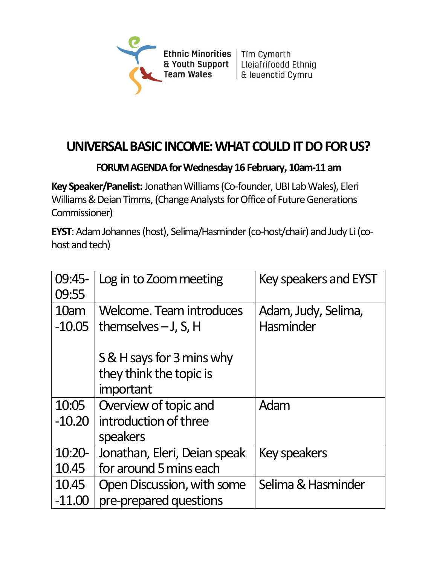

## **UNIVERSAL BASIC INCOME: WHAT COULD IT DO FOR US?**

#### **FORUM AGENDA for Wednesday 16 February, 10am-11 am**

**Key Speaker/Panelist:**Jonathan Williams (Co-founder, UBI Lab Wales), Eleri Williams & Deian Timms, (Change Analysts for Office of Future Generations Commissioner)

**EYST**: Adam Johannes (host), Selima/Hasminder (co-host/chair) and Judy Li (cohost and tech)

| $09:45-$<br>09:55 | Log in to Zoom meeting                                    | <b>Key speakers and EYST</b>     |
|-------------------|-----------------------------------------------------------|----------------------------------|
| 10am<br>$-10.05$  | <b>Welcome. Team introduces</b><br>themselves $-$ J, S, H | Adam, Judy, Selima,<br>Hasminder |
|                   |                                                           |                                  |
|                   | S & H says for 3 mins why                                 |                                  |
|                   | they think the topic is                                   |                                  |
|                   | important                                                 |                                  |
| 10:05             | Overview of topic and                                     | Adam                             |
| $-10.20$          | introduction of three                                     |                                  |
|                   | speakers                                                  |                                  |
| $10:20-$          | Jonathan, Eleri, Deian speak                              | <b>Key speakers</b>              |
| 10.45             | for around 5 mins each                                    |                                  |
| 10.45             | Open Discussion, with some                                | Selima & Hasminder               |
| $-11.00$          | pre-prepared questions                                    |                                  |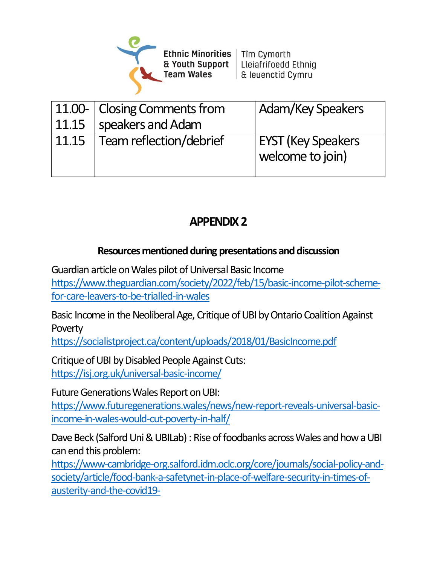

| 11.15 | 11.00- Closing Comments from<br>speakers and Adam | <b>Adam/Key Speakers</b>                      |
|-------|---------------------------------------------------|-----------------------------------------------|
| 11.15 | Team reflection/debrief                           | <b>EYST (Key Speakers</b><br>welcome to join) |

## **APPENDIX 2**

#### **Resourcesmentioned during presentationsand discussion**

Guardian article on Wales pilot of Universal Basic Income

[https://www.theguardian.com/society/2022/feb/15/basic-income-pilot-scheme](https://www.theguardian.com/society/2022/feb/15/basic-income-pilot-scheme-for-care-leavers-to-be-trialled-in-wales)[for-care-leavers-to-be-trialled-in-wales](https://www.theguardian.com/society/2022/feb/15/basic-income-pilot-scheme-for-care-leavers-to-be-trialled-in-wales)

Basic Income in the Neoliberal Age, Critique of UBI by Ontario Coalition Against **Poverty** 

<https://socialistproject.ca/content/uploads/2018/01/BasicIncome.pdf>

Critique of UBI by Disabled People Against Cuts: <https://isj.org.uk/universal-basic-income/>

Future Generations Wales Report on UBI: [https://www.futuregenerations.wales/news/new-report-reveals-universal-basic](https://www.futuregenerations.wales/news/new-report-reveals-universal-basic-income-in-wales-would-cut-poverty-in-half/)[income-in-wales-would-cut-poverty-in-half/](https://www.futuregenerations.wales/news/new-report-reveals-universal-basic-income-in-wales-would-cut-poverty-in-half/)

Dave Beck (Salford Uni & UBILab) : Rise of foodbanks across Wales and how a UBI can end this problem:

[https://www-cambridge-org.salford.idm.oclc.org/core/journals/social-policy-and](https://www-cambridge-org.salford.idm.oclc.org/core/journals/social-policy-and-society/article/food-bank-a-safetynet-in-place-of-welfare-security-in-times-of-austerity-and-the-covid19-)[society/article/food-bank-a-safetynet-in-place-of-welfare-security-in-times-of](https://www-cambridge-org.salford.idm.oclc.org/core/journals/social-policy-and-society/article/food-bank-a-safetynet-in-place-of-welfare-security-in-times-of-austerity-and-the-covid19-)[austerity-and-the-covid19-](https://www-cambridge-org.salford.idm.oclc.org/core/journals/social-policy-and-society/article/food-bank-a-safetynet-in-place-of-welfare-security-in-times-of-austerity-and-the-covid19-)